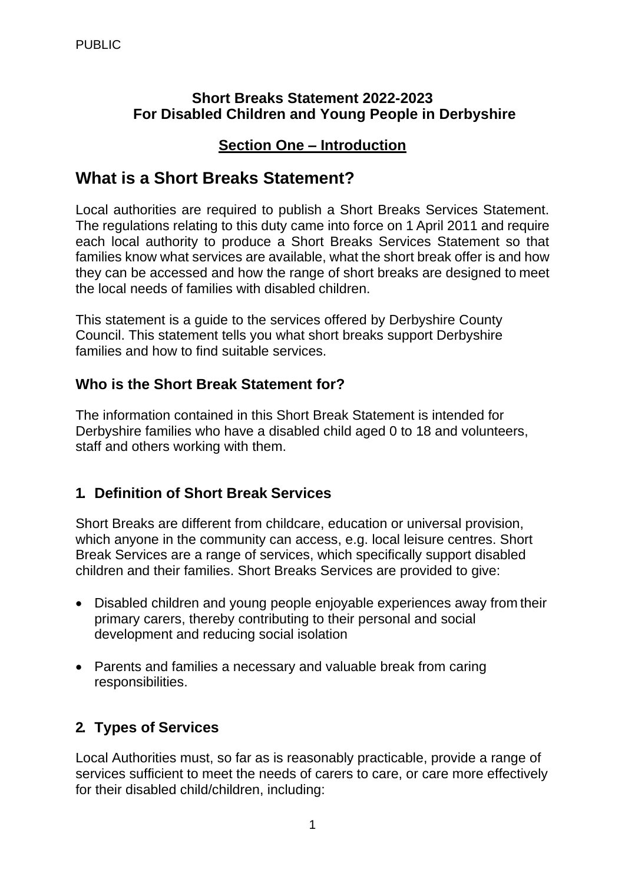#### **Short Breaks Statement 2022-2023 For Disabled Children and Young People in Derbyshire**

### **Section One – Introduction**

# **What is a Short Breaks Statement?**

 each local authority to produce a Short Breaks Services Statement so that Local authorities are required to publish a Short Breaks Services Statement. The regulations relating to this duty came into force on 1 April 2011 and require families know what services are available, what the short break offer is and how they can be accessed and how the range of short breaks are designed to meet the local needs of families with disabled children.

This statement is a guide to the services offered by Derbyshire County Council. This statement tells you what short breaks support Derbyshire families and how to find suitable services.

## **Who is the Short Break Statement for?**

The information contained in this Short Break Statement is intended for Derbyshire families who have a disabled child aged 0 to 18 and volunteers, staff and others working with them.

## **1. Definition of Short Break Services**

Short Breaks are different from childcare, education or universal provision, which anyone in the community can access, e.g. local leisure centres. Short Break Services are a range of services, which specifically support disabled children and their families. Short Breaks Services are provided to give:

- Disabled children and young people enjoyable experiences away from their primary carers, thereby contributing to their personal and social development and reducing social isolation
- Parents and families a necessary and valuable break from caring responsibilities.

## **2. Types of Services**

Local Authorities must, so far as is reasonably practicable, provide a range of services sufficient to meet the needs of carers to care, or care more effectively for their disabled child/children, including: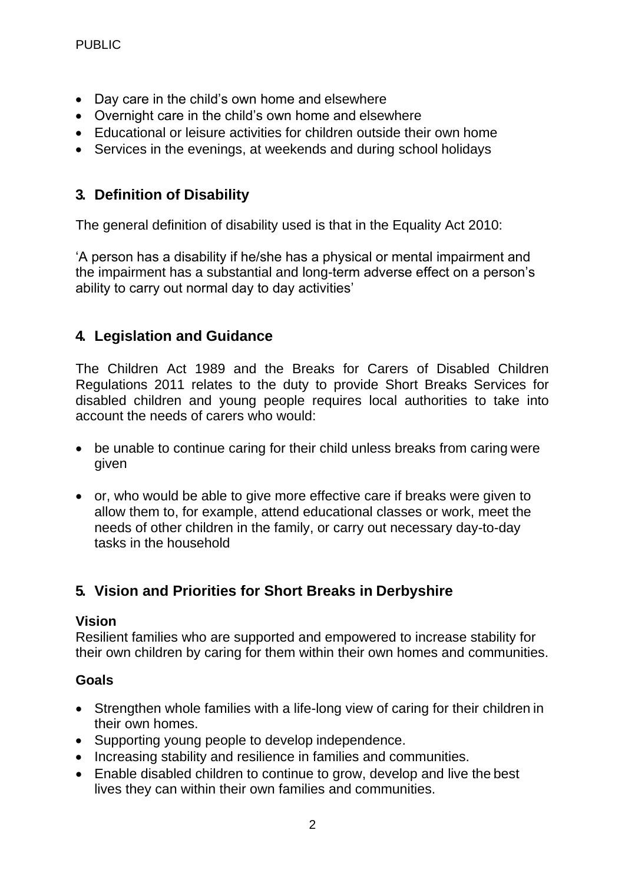- Day care in the child's own home and elsewhere
- Overnight care in the child's own home and elsewhere
- Educational or leisure activities for children outside their own home
- Services in the evenings, at weekends and during school holidays

## **3. Definition of Disability**

The general definition of disability used is that in the Equality Act 2010:

'A person has a disability if he/she has a physical or mental impairment and the impairment has a substantial and long-term adverse effect on a person's ability to carry out normal day to day activities'

## **4. Legislation and Guidance**

 disabled children and young people requires local authorities to take into The Children Act 1989 and the Breaks for Carers of Disabled Children Regulations 2011 relates to the duty to provide Short Breaks Services for account the needs of carers who would:

- be unable to continue caring for their child unless breaks from caring were given
- or, who would be able to give more effective care if breaks were given to allow them to, for example, attend educational classes or work, meet the needs of other children in the family, or carry out necessary day-to-day tasks in the household

## **5. Vision and Priorities for Short Breaks in Derbyshire**

#### **Vision**

Resilient families who are supported and empowered to increase stability for their own children by caring for them within their own homes and communities.

#### **Goals**

- Strengthen whole families with a life-long view of caring for their children in their own homes.
- Supporting young people to develop independence.
- Increasing stability and resilience in families and communities.
- Enable disabled children to continue to grow, develop and live the best lives they can within their own families and communities.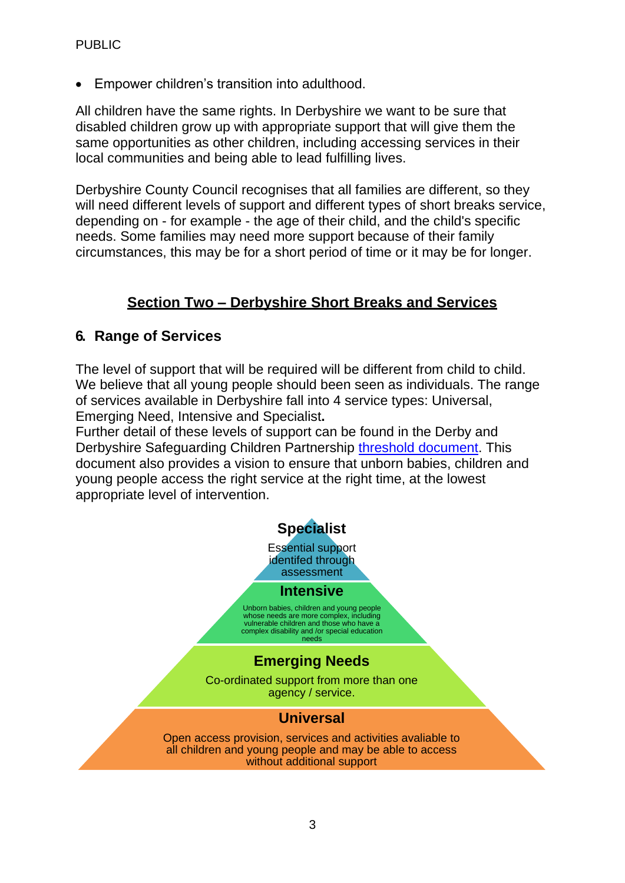• Empower children's transition into adulthood.

All children have the same rights. In Derbyshire we want to be sure that disabled children grow up with appropriate support that will give them the same opportunities as other children, including accessing services in their local communities and being able to lead fulfilling lives.

Derbyshire County Council recognises that all families are different, so they will need different levels of support and different types of short breaks service, depending on - for example - the age of their child, and the child's specific needs. Some families may need more support because of their family circumstances, this may be for a short period of time or it may be for longer.

#### **Section Two – Derbyshire Short Breaks and Services**

#### **6. Range of Services**

The level of support that will be required will be different from child to child. We believe that all young people should been seen as individuals. The range of services available in Derbyshire fall into 4 service types: Universal, Emerging Need, Intensive and Specialist**.** 

Derbyshire Safeguarding Children Partnership [threshold document.](https://www.proceduresonline.com/derbyshire/scbs/user_controlled_lcms_area/uploaded_files/Threshold%20Document%20FINAL%20December%202019.pdf) This Further detail of these levels of support can be found in the Derby and document also provides a vision to ensure that unborn babies, children and young people access the right service at the right time, at the lowest appropriate level of intervention.

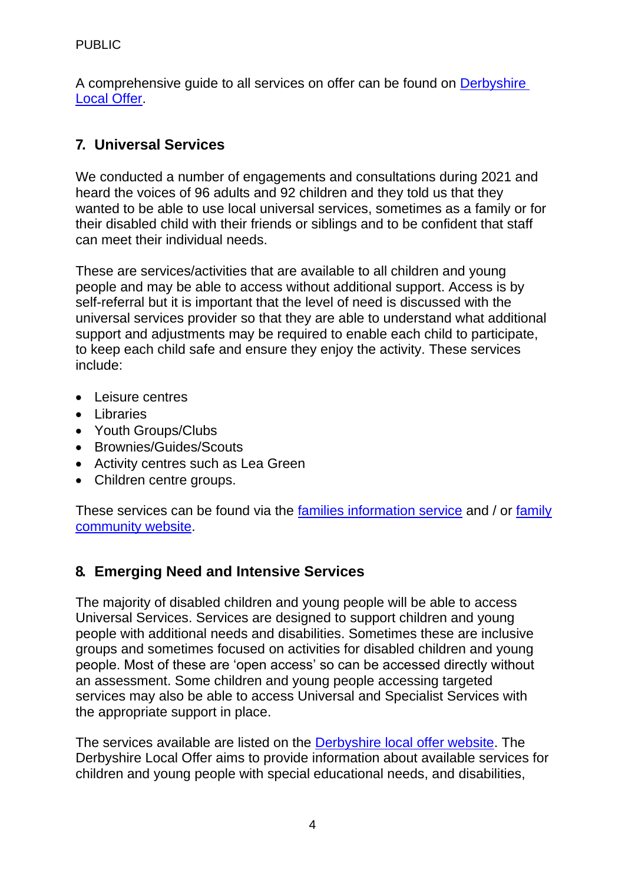A comprehensive guide to all services on offer can be found on [Derbyshire](https://localoffer.derbyshire.gov.uk/#!/directory)  [Local Offer.](https://localoffer.derbyshire.gov.uk/#!/directory)

# **7. Universal Services**

We conducted a number of engagements and consultations during 2021 and heard the voices of 96 adults and 92 children and they told us that they wanted to be able to use local universal services, sometimes as a family or for their disabled child with their friends or siblings and to be confident that staff can meet their individual needs.

These are services/activities that are available to all children and young people and may be able to access without additional support. Access is by self-referral but it is important that the level of need is discussed with the universal services provider so that they are able to understand what additional support and adjustments may be required to enable each child to participate, to keep each child safe and ensure they enjoy the activity. These services include:

- Leisure centres
- Libraries
- Youth Groups/Clubs
- Brownies/Guides/Scouts
- Activity centres such as Lea Green
- Children centre groups.

These services can be found via the [families information service a](https://caya-apps.derbyshire.gov.uk/Synergy/SynergyWeb/)nd / or [family](https://caya-apps.derbyshire.gov.uk/Synergy/SynergyWeb/Community_Directory_For_Families/)  [community website.](https://caya-apps.derbyshire.gov.uk/Synergy/SynergyWeb/Community_Directory_For_Families/)

## **8. Emerging Need and Intensive Services**

 services may also be able to access Universal and Specialist Services with The majority of disabled children and young people will be able to access Universal Services. Services are designed to support children and young people with additional needs and disabilities. Sometimes these are inclusive groups and sometimes focused on activities for disabled children and young people. Most of these are 'open access' so can be accessed directly without an assessment. Some children and young people accessing targeted the appropriate support in place.

The services available are listed on the [Derbyshire local offer website.](https://localoffer.derbyshire.gov.uk/) The Derbyshire Local Offer aims to provide information about available services for children and young people with special educational needs, and disabilities,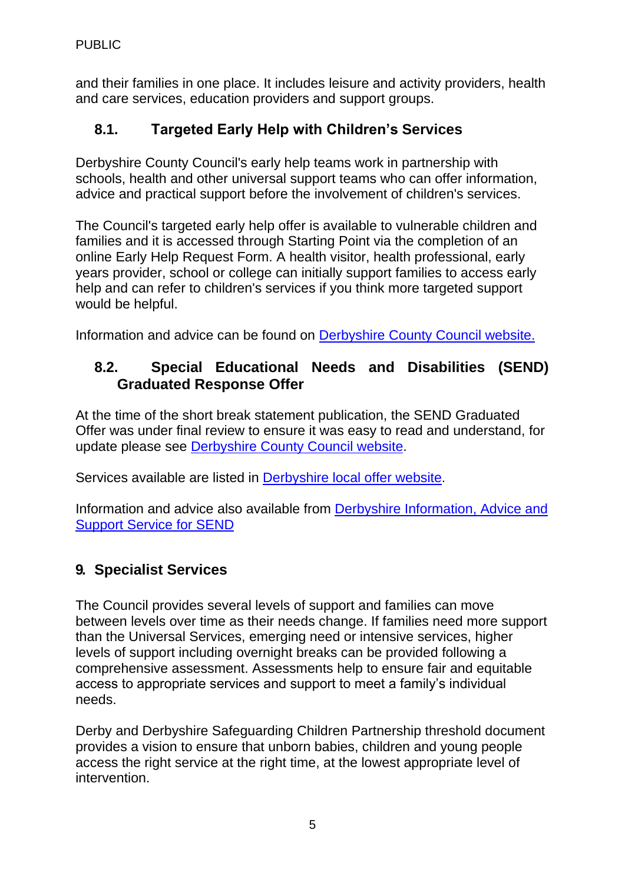and their families in one place. It includes leisure and activity providers, health and care services, education providers and support groups.

## **8.1. Targeted Early Help with Children's Services**

Derbyshire County Council's early help teams work in partnership with schools, health and other universal support teams who can offer information, advice and practical support before the involvement of children's services.

 help and can refer to children's services if you think more targeted support The Council's targeted early help offer is available to vulnerable children and families and it is accessed through Starting Point via the completion of an online Early Help Request Form. A health visitor, health professional, early years provider, school or college can initially support families to access early would be helpful.

Information and advice can be found on [Derbyshire County Council website.](https://www.derbyshire.gov.uk/social-health/children-and-families/support-for-families/support-for-families-and-early-help.aspx)

## **8.2. Special Educational Needs and Disabilities (SEND) Graduated Response Offer**

At the time of the short break statement publication, the SEND Graduated Offer was under final review to ensure it was easy to read and understand, for update please see [Derbyshire County Council website.](https://www.derbyshire.gov.uk/education/schools/special-educational-needs/special-educational-needs.aspx)

Services available are listed in [Derbyshire local offer website.](https://localoffer.derbyshire.gov.uk/)

Information and advice also available from [Derbyshire Information, Advice and](https://www.derbyshireiass.co.uk/home.aspx)  [Support Service for SEND](https://www.derbyshireiass.co.uk/home.aspx) 

## **9. Specialist Services**

The Council provides several levels of support and families can move between levels over time as their needs change. If families need more support than the Universal Services, emerging need or intensive services, higher levels of support including overnight breaks can be provided following a comprehensive assessment. Assessments help to ensure fair and equitable access to appropriate services and support to meet a family's individual needs.

 Derby and Derbyshire Safeguarding Children Partnership threshold document provides a vision to ensure that unborn babies, children and young people access the right service at the right time, at the lowest appropriate level of intervention.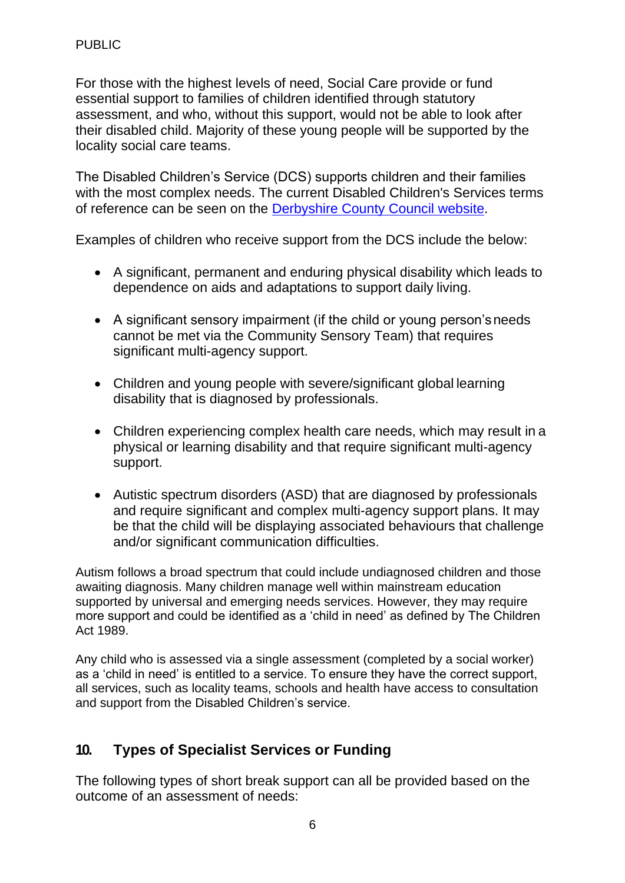For those with the highest levels of need, Social Care provide or fund essential support to families of children identified through statutory assessment, and who, without this support, would not be able to look after their disabled child. Majority of these young people will be supported by the locality social care teams.

The Disabled Children's Service (DCS) supports children and their families with the most complex needs. The current Disabled Children's Services terms of reference can be seen on the [Derbyshire County Council website.](https://www.derbyshire.gov.uk/social-health/children-and-families/disabled-children/disabled-children.aspx)

Examples of children who receive support from the DCS include the below:

- A significant, permanent and enduring physical disability which leads to dependence on aids and adaptations to support daily living.
- A significant sensory impairment (if the child or young person'sneeds cannot be met via the Community Sensory Team) that requires significant multi-agency support.
- Children and young people with severe/significant global learning disability that is diagnosed by professionals.
- Children experiencing complex health care needs, which may result in a physical or learning disability and that require significant multi-agency support.
- Autistic spectrum disorders (ASD) that are diagnosed by professionals and require significant and complex multi-agency support plans. It may be that the child will be displaying associated behaviours that challenge and/or significant communication difficulties.

Autism follows a broad spectrum that could include undiagnosed children and those awaiting diagnosis. Many children manage well within mainstream education supported by universal and emerging needs services. However, they may require more support and could be identified as a 'child in need' as defined by The Children Act 1989.

Any child who is assessed via a single assessment (completed by a social worker) as a 'child in need' is entitled to a service. To ensure they have the correct support, all services, such as locality teams, schools and health have access to consultation and support from the Disabled Children's service.

## **10. Types of Specialist Services or Funding**

The following types of short break support can all be provided based on the outcome of an assessment of needs: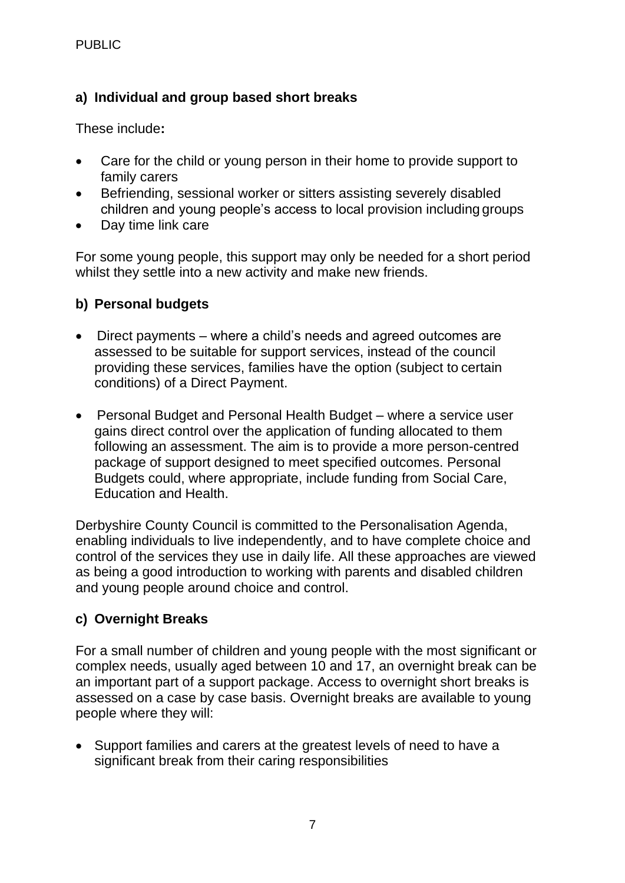#### **a) Individual and group based short breaks**

These include**:** 

- Care for the child or young person in their home to provide support to family carers
- Befriending, sessional worker or sitters assisting severely disabled children and young people's access to local provision including groups
- Day time link care

For some young people, this support may only be needed for a short period whilst they settle into a new activity and make new friends.

#### **b) Personal budgets**

- Direct payments where a child's needs and agreed outcomes are assessed to be suitable for support services, instead of the council providing these services, families have the option (subject to certain conditions) of a Direct Payment.
- Personal Budget and Personal Health Budget where a service user gains direct control over the application of funding allocated to them following an assessment. The aim is to provide a more person-centred package of support designed to meet specified outcomes. Personal Budgets could, where appropriate, include funding from Social Care, Education and Health.

Derbyshire County Council is committed to the Personalisation Agenda, enabling individuals to live independently, and to have complete choice and control of the services they use in daily life. All these approaches are viewed as being a good introduction to working with parents and disabled children and young people around choice and control.

#### **c) Overnight Breaks**

 assessed on a case by case basis. Overnight breaks are available to young For a small number of children and young people with the most significant or complex needs, usually aged between 10 and 17, an overnight break can be an important part of a support package. Access to overnight short breaks is people where they will:

• Support families and carers at the greatest levels of need to have a significant break from their caring responsibilities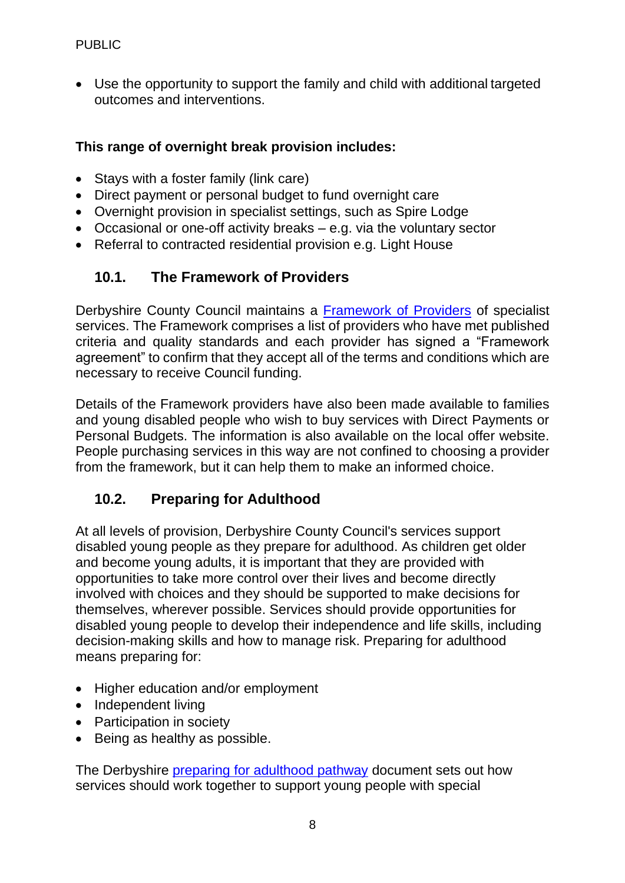• Use the opportunity to support the family and child with additional targeted outcomes and interventions.

#### **This range of overnight break provision includes:**

- Stays with a foster family (link care)
- Direct payment or personal budget to fund overnight care
- Overnight provision in specialist settings, such as Spire Lodge
- Occasional or one-off activity breaks e.g. via the voluntary sector
- Referral to contracted residential provision e.g. Light House

## **10.1. The Framework of Providers**

Derbyshire County Council maintains a **Framework of Providers** of specialist services. The Framework comprises a list of providers who have met published criteria and quality standards and each provider has signed a "Framework agreement" to confirm that they accept all of the terms and conditions which are necessary to receive Council funding.

Details of the Framework providers have also been made available to families and young disabled people who wish to buy services with Direct Payments or Personal Budgets. The information is also available on the local offer website. People purchasing services in this way are not confined to choosing a provider from the framework, but it can help them to make an informed choice.

## **10.2. Preparing for Adulthood**

At all levels of provision, Derbyshire County Council's services support disabled young people as they prepare for adulthood. As children get older and become young adults, it is important that they are provided with opportunities to take more control over their lives and become directly involved with choices and they should be supported to make decisions for themselves, wherever possible. Services should provide opportunities for disabled young people to develop their independence and life skills, including decision-making skills and how to manage risk. Preparing for adulthood means preparing for:

- Higher education and/or employment
- Independent living
- Participation in society
- Being as healthy as possible.

The Derbyshire [preparing for adulthood pathway d](https://localoffer.derbyshire.gov.uk/%23!/model/page/information/5356)ocument sets out how services should work together to support young people with special